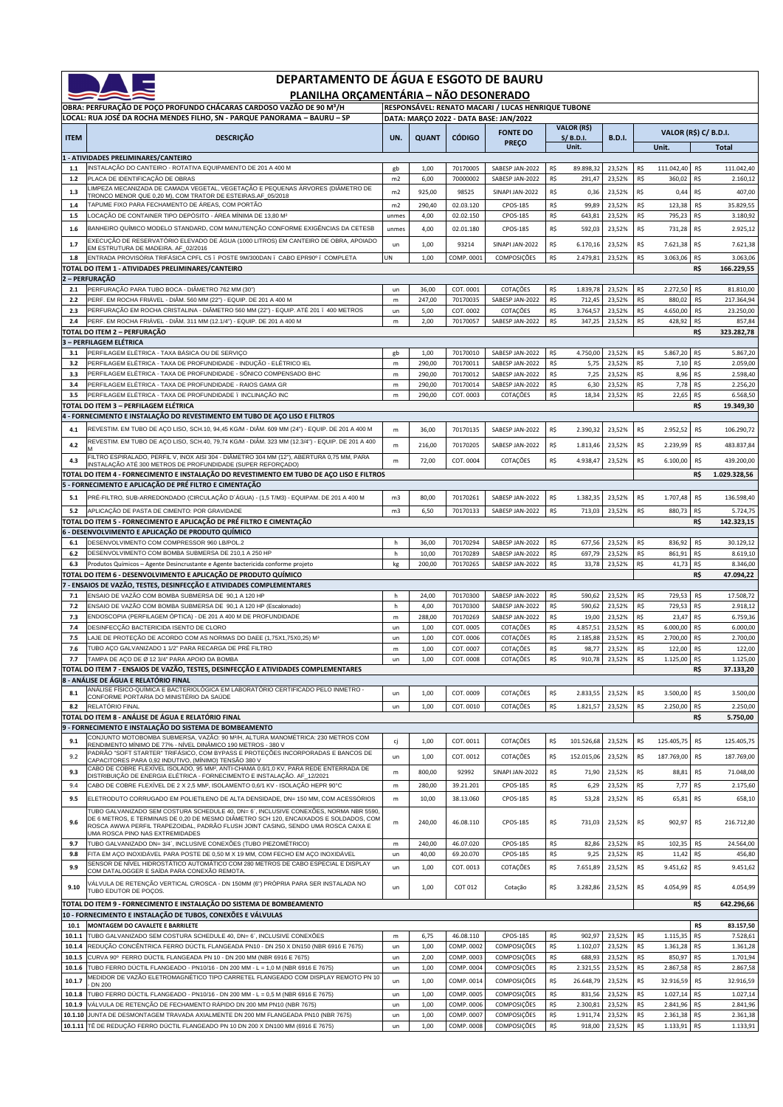| DEPARTAMENTO DE ÁGUA E ESGOTO DE BAURU<br>PLANILHA ORÇAMENTÁRIA - NÃO DESONERADO                                          |                                                                                                                                                                                                                |                |                                        |                          |                                    |            |                                  |                   |            |                                       |            |                        |  |
|---------------------------------------------------------------------------------------------------------------------------|----------------------------------------------------------------------------------------------------------------------------------------------------------------------------------------------------------------|----------------|----------------------------------------|--------------------------|------------------------------------|------------|----------------------------------|-------------------|------------|---------------------------------------|------------|------------------------|--|
| OBRA: PERFURAÇÃO DE POÇO PROFUNDO CHÁCARAS CARDOSO VAZÃO DE 90 M3/H<br>RESPONSÁVEL: RENATO MACARI / LUCAS HENRIQUE TUBONE |                                                                                                                                                                                                                |                |                                        |                          |                                    |            |                                  |                   |            |                                       |            |                        |  |
|                                                                                                                           | LOCAL: RUA JOSÉ DA ROCHA MENDES FILHO, SN - PARQUE PANORAMA - BAURU - SP                                                                                                                                       |                | DATA: MARÇO 2022 - DATA BASE: JAN/2022 |                          |                                    |            |                                  |                   |            |                                       |            |                        |  |
| <b>ITEM</b>                                                                                                               | <b>DESCRIÇÃO</b>                                                                                                                                                                                               | UN.            | <b>QUANT</b>                           | <b>CÓDIGO</b>            | <b>FONTE DO</b><br><b>PREÇO</b>    |            | VALOR (R\$)<br>S/B.D.I.<br>Unit. | <b>B.D.I.</b>     |            | <b>VALOR (R\$) C/ B.D.I.</b><br>Unit. |            | <b>Total</b>           |  |
|                                                                                                                           | - ATIVIDADES PRELIMINARES/CANTEIRO                                                                                                                                                                             |                |                                        |                          |                                    |            |                                  |                   |            |                                       |            |                        |  |
| 1.1<br>$1.2$                                                                                                              | INSTALAÇÃO DO CANTEIRO - ROTATIVA EQUIPAMENTO DE 201 A 400 M<br>PLACA DE IDENTIFICAÇÃO DE OBRAS                                                                                                                | gb<br>m2       | 1,00<br>6,00                           | 70170005<br>70000002     | SABESP JAN-2022<br>SABESP JAN-2022 | R\$<br>R\$ | 89.898,32<br>291,47              | 23,52%<br>23,52%  | R\$<br>R\$ | 111.042,40<br>360,02                  | R\$<br>R\$ | 111.042,40<br>2.160,12 |  |
| 1.3                                                                                                                       | LIMPEZA MECANIZADA DE CAMADA VEGETAL, VEGETAÇÃO E PEQUENAS ÁRVORES (DIÂMETRO DE                                                                                                                                | m2             | 925,00                                 | 98525                    | SINAPI JAN-2022                    | R\$        | 0,36                             | 23,52%            | R\$        | 0,44                                  | R\$        | 407,00                 |  |
| 1.4                                                                                                                       | TRONCO MENOR QUE 0,20 M), COM TRATOR DE ESTEIRAS.AF_05/2018<br>TAPUME FIXO PARA FECHAMENTO DE ÁREAS, COM PORTÃO                                                                                                | m2             | 290,40                                 | 02.03.120                | <b>CPOS-185</b>                    | R\$        | 99,89                            | 23,52%            | R\$        | 123,38                                | R\$        | 35.829,55              |  |
| $1.5$                                                                                                                     | OCAÇÃO DE CONTAINER TIPO DEPÓSITO - ÁREA MÍNIMA DE 13,80 M <sup>2</sup>                                                                                                                                        | unmes          | 4,00                                   | 02.02.150                | CPOS-185                           | R\$        | 643,81                           | 23,52%            | R\$        | 795,23                                | R\$        | 3.180,92               |  |
| 1.6                                                                                                                       | BANHEIRO QUÍMICO MODELO STANDARD, COM MANUTENÇÃO CONFORME EXIGÊNCIAS DA CETESB                                                                                                                                 | unmes          | 4,00                                   | 02.01.180                | CPOS-185                           | R\$        | 592,03                           | 23,52%            | R\$        | 731,28                                | R\$        | 2.925,12               |  |
| 1.7                                                                                                                       | EXECUÇÃO DE RESERVATÓRIO ELEVADO DE ÁGUA (1000 LITROS) EM CANTEIRO DE OBRA, APOIADO<br>EM ESTRUTURA DE MADEIRA. AF_02/2016                                                                                     | un             | 1,00                                   | 93214                    | SINAPI JAN-2022                    | R\$        | 6.170,16                         | 23,52%            | R\$        | 7.621,38                              | R\$        | 7.621,38               |  |
| 1.8                                                                                                                       | ENTRADA PROVISÓRIA TRIFÁSICA CPFL C5 . POSTE 9M/300DAN . CABO EPR90º . COMPLETA                                                                                                                                | UN             | 1,00                                   | COMP. 0001               | COMPOSIÇÕES                        | R\$        | 2.479,81                         | 23,52%            | R\$        | 3.063,06                              | R\$        | 3.063,06               |  |
|                                                                                                                           | TOTAL DO ITEM 1 - ATIVIDADES PRELIMINARES/CANTEIRO                                                                                                                                                             |                |                                        |                          |                                    |            |                                  |                   |            |                                       | R\$        | 166.229,55             |  |
| 2.1                                                                                                                       | 2 – PERFURAÇÃO<br>PERFURAÇÃO PARA TUBO BOCA - DIÂMETRO 762 MM (30")                                                                                                                                            | un             | 36,00                                  | COT. 0001                | COTAÇÕES                           | R\$        | 1.839,78                         | 23,52%            | R\$        | 2.272,50                              | R\$        | 81.810,00              |  |
| 2.2                                                                                                                       | PERF. EM ROCHA FRIÁVEL - DIÂM. 560 MM (22") - EQUIP. DE 201 A 400 M                                                                                                                                            | m              | 247,00                                 | 70170035                 | SABESP JAN-2022                    | R\$        | 712,45                           | 23,52%            | R\$        | 880,02                                | R\$        | 217.364,94             |  |
| 2.3                                                                                                                       | PERFURAÇÃO EM ROCHA CRISTALINA - DIÂMETRO 560 MM (22") - EQUIP. ATÉ 201 . 400 METROS                                                                                                                           | un             | 5,00                                   | COT. 0002                | COTAÇÕES                           | R\$        | 3.764,57                         | 23,52%            | R\$        | 4.650,00                              | R\$        | 23.250,00              |  |
| 2.4                                                                                                                       | PERF. EM ROCHA FRIÁVEL - DIÂM. 311 MM (12.1/4") - EQUIP. DE 201 A 400 M<br>TOTAL DO ITEM 2 – PERFURAÇÃO                                                                                                        | m              | 2,00                                   | 70170057                 | SABESP JAN-2022                    | R\$        | 347,25                           | 23,52%            | R\$        | 428,92                                | R\$<br>R\$ | 857,84<br>323.282,78   |  |
|                                                                                                                           | 3 - PERFILAGEM ELÉTRICA                                                                                                                                                                                        |                |                                        |                          |                                    |            |                                  |                   |            |                                       |            |                        |  |
| 3.1                                                                                                                       | PERFILAGEM ELÉTRICA - TAXA BÁSICA OU DE SERVIÇO                                                                                                                                                                | gb             | 1,00                                   | 70170010                 | SABESP JAN-2022                    | R\$        | 4.750,00                         | 23,52%            | R\$        | 5.867,20                              | R\$        | 5.867,20               |  |
| 3.2<br>3.3                                                                                                                | PERFILAGEM ELÉTRICA - TAXA DE PROFUNDIDADE - INDUÇÃO - ELÉTRICO IEL<br>PERFILAGEM ELÉTRICA - TAXA DE PROFUNDIDADE - SÔNICO COMPENSADO BHC                                                                      | m<br>m         | 290,00<br>290,00                       | 70170011<br>70170012     | SABESP JAN-2022<br>SABESP JAN-2022 | R\$<br>R\$ | 5,75<br>7,25                     | 23,52%<br>23,52%  | R\$<br>R\$ | 7,10<br>8,96                          | R\$<br>R\$ | 2.059,00<br>2.598,40   |  |
| 3.4                                                                                                                       | PERFILAGEM ELÉTRICA - TAXA DE PROFUNDIDADE - RAIOS GAMA GR                                                                                                                                                     | m              | 290,00                                 | 70170014                 | SABESP JAN-2022                    | R\$        | 6,30                             | 23,52%            | R\$        | 7,78                                  | R\$        | 2.256,20               |  |
| 3.5                                                                                                                       | PERFILAGEM ELÉTRICA - TAXA DE PROFUNDIDADE . INCLINAÇÃO INC                                                                                                                                                    | m              | 290,00                                 | COT. 0003                | COTAÇÕES                           | R\$        | 18,34                            | 23,52%            | R\$        | 22,65                                 | R\$        | 6.568,50               |  |
|                                                                                                                           | TOTAL DO ITEM 3 – PERFILAGEM ELÉTRICA<br>4 - FORNECIMENTO E INSTALAÇÃO DO REVESTIMENTO EM TUBO DE AÇO LISO E FILTROS                                                                                           |                |                                        |                          |                                    |            |                                  |                   |            |                                       | R\$        | 19.349,30              |  |
| 4.1                                                                                                                       | REVESTIM. EM TUBO DE AÇO LISO, SCH.10, 94,45 KG/M - DIÂM. 609 MM (24") - EQUIP. DE 201 A 400 M                                                                                                                 | m              | 36,00                                  | 70170135                 | SABESP JAN-2022                    | R\$        | 2.390,32                         | 23,52%            | R\$        | 2.952,52                              | R\$        | 106.290,72             |  |
|                                                                                                                           | REVESTIM. EM TUBO DE AÇO LISO, SCH.40, 79,74 KG/M - DIÂM. 323 MM (12.3/4") - EQUIP. DE 201 A 400                                                                                                               |                |                                        |                          |                                    |            |                                  |                   |            |                                       |            |                        |  |
| 4.2                                                                                                                       | FILTRO ESPIRALADO, PERFIL V, INOX AISI 304 - DIÂMETRO 304 MM (12"), ABERTURA 0,75 MM, PARA                                                                                                                     | m              | 216,00                                 | 70170205                 | SABESP JAN-2022                    | R\$        | 1.813,46                         | 23,52%            | R\$        | 2.239,99                              | R\$        | 483.837,84             |  |
| 4.3                                                                                                                       | INSTALAÇÃO ATÉ 300 METROS DE PROFUNDIDADE (SUPER REFORÇADO)                                                                                                                                                    | m              | 72,00                                  | COT. 0004                | COTAÇÕES                           | R\$        | 4.938,47                         | 23,52%            | R\$        | 6.100,00                              | R\$        | 439.200,00             |  |
|                                                                                                                           | TOTAL DO ITEM 4 - FORNECIMENTO E INSTALAÇÃO DO REVESTIMENTO EM TUBO DE AÇO LISO E FILTROS<br>5 - FORNECIMENTO E APLICAÇÃO DE PRÉ FILTRO E CIMENTAÇÃO                                                           |                |                                        |                          |                                    |            |                                  |                   |            |                                       | R\$        | 1.029.328,56           |  |
| 5.1                                                                                                                       | PRÉ-FILTRO, SUB-ARREDONDADO (CIRCULAÇÃO D´ÁGUA) - (1,5 T/M3) - EQUIPAM. DE 201 A 400 M                                                                                                                         | m <sub>3</sub> | 80,00                                  | 70170261                 | SABESP JAN-2022                    | R\$        | 1.382,35                         | 23,52%            | R\$        | 1.707,48                              | R\$        | 136.598,40             |  |
| 5.2                                                                                                                       | APLICAÇÃO DE PASTA DE CIMENTO: POR GRAVIDADE                                                                                                                                                                   | m <sub>3</sub> | 6,50                                   | 70170133                 | SABESP JAN-2022                    | R\$        | 713,03                           | 23,52%            | R\$        | 880,73                                | R\$        | 5.724,75               |  |
|                                                                                                                           | TOTAL DO ITEM 5 - FORNECIMENTO E APLICAÇÃO DE PRÉ FILTRO E CIMENTAÇÃO                                                                                                                                          |                |                                        |                          |                                    |            |                                  |                   |            |                                       | R\$        | 142.323,15             |  |
|                                                                                                                           | 6 - DESENVOLVIMENTO E APLICAÇÃO DE PRODUTO QUÍMICO                                                                                                                                                             |                |                                        |                          |                                    |            |                                  |                   |            |                                       |            |                        |  |
| 6.1<br>$6.2\,$                                                                                                            | DESENVOLVIMENTO COM COMPRESSOR 960 LB/POL.2<br>DESENVOLVIMENTO COM BOMBA SUBMERSA DE 210,1 A 250 HP                                                                                                            | h<br>h         | 36,00<br>10,00                         | 70170294<br>70170289     | SABESP JAN-2022<br>SABESP JAN-2022 | R\$<br>R\$ | 677,56<br>697,79                 | 23,52%<br>23,52%  | R\$<br>R\$ | 836,92<br>861,91                      | R\$<br>R\$ | 30.129,12<br>8.619,10  |  |
| 6.3                                                                                                                       | Produtos Químicos - Agente Desincrustante e Agente bactericida conforme projeto                                                                                                                                | kg             | 200,00                                 | 70170265                 | SABESP JAN-2022                    | R\$        | 33,78                            | 23,52%            | R\$        | 41,73                                 | R\$        | 8.346,00               |  |
|                                                                                                                           | TOTAL DO ITEM 6 - DESENVOLVIMENTO E APLICAÇÃO DE PRODUTO QUÍMICO                                                                                                                                               |                |                                        |                          |                                    |            |                                  |                   |            |                                       | R\$        | 47.094,22              |  |
|                                                                                                                           | ' - ENSAIOS DE VAZÃO, TESTES, DESINFECÇÃO E ATIVIDADES COMPLEMENTARES                                                                                                                                          |                |                                        | 70170300                 |                                    |            |                                  |                   |            |                                       |            |                        |  |
| 7.1<br>7.2                                                                                                                | ENSAIO DE VAZÃO COM BOMBA SUBMERSA DE 90,1 A 120 HP<br>ENSAIO DE VAZÃO COM BOMBA SUBMERSA DE 90,1 A 120 HP (Escalonado)                                                                                        | h<br>h         | 24,00<br>4,00                          | 70170300                 | SABESP JAN-2022<br>SABESP JAN-2022 | R\$<br>R\$ | 590,62<br>590,62                 | 23,52%<br>23,52%  | R\$<br>R\$ | 729,53<br>729,53                      | R\$<br>R\$ | 17.508,72<br>2.918,12  |  |
| 7.3                                                                                                                       | ENDOSCOPIA (PERFILAGEM ÓPTICA) - DE 201 A 400 M DE PROFUNDIDADE                                                                                                                                                | m              | 288,00                                 | 70170269                 | SABESP JAN-2022                    | R\$        | 19,00                            | 23,52%            | R\$        | 23,47                                 | R\$        | 6.759,36               |  |
| 7.4                                                                                                                       | DESINFECÇÃO BACTERICIDA ISENTO DE CLORO                                                                                                                                                                        | <b>un</b>      | 1,00                                   | COT. 0005                | COTAÇÕES                           | R\$        | 4.857,51                         | 23,52%            | R\$        | 6.000,00                              | R\$        | 6.000,00               |  |
| 7.5<br>7.6                                                                                                                | LAJE DE PROTEÇÃO DE ACORDO COM AS NORMAS DO DAEE (1,75X1,75X0,25) M <sup>3</sup><br>TUBO AÇO GALVANIZADO 1 1/2" PARA RECARGA DE PRÉ FILTRO                                                                     | un<br>m        | 1,00<br>1,00                           | COT. 0006<br>COT. 0007   | COTAÇÕES<br>COTAÇÕES               | R\$<br>R\$ | 2.185,88<br>98,77                | 23,52%<br>23,52%  | R\$<br>R\$ | 2.700,00<br>122,00                    | R\$<br>R\$ | 2.700,00<br>122,00     |  |
| $\mathcal{L}$                                                                                                             | TAMPA DE AÇO DE Ø 12 3/4" PARA APOIO DA BOMBA                                                                                                                                                                  | un             | 1,00                                   | COT. 0008                | <b>COTAÇUES</b>                    | R\$        |                                  | 910,78 23,52% R\$ |            | 1.125,00                              | כא         | 1.125,00               |  |
|                                                                                                                           | TOTAL DO ITEM 7 - ENSAIOS DE VAZÃO, TESTES, DESINFECÇÃO E ATIVIDADES COMPLEMENTARES                                                                                                                            |                |                                        |                          |                                    |            |                                  |                   |            |                                       | R\$        | 37.133,20              |  |
|                                                                                                                           | 8 - ANÁLISE DE ÁGUA E RELATÓRIO FINAL<br>ANÁLISE FÍSICO-QUÍMICA E BACTERIOLÓGICA EM LABORATÓRIO CERTIFICADO PELO INMETRO -                                                                                     |                |                                        |                          |                                    |            |                                  |                   |            |                                       |            |                        |  |
| 8.1                                                                                                                       | CONFORME PORTARIA DO MINISTÉRIO DA SAÚDE                                                                                                                                                                       | un             | 1,00                                   | COT. 0009                | COTAÇÕES                           | R\$        | 2.833,55                         | 23,52%            | R\$        | 3.500,00                              | R\$        | 3.500,00               |  |
| 8.2                                                                                                                       | RELATÓRIO FINAL<br>TOTAL DO ITEM 8 - ANÁLISE DE ÁGUA E RELATÓRIO FINAL                                                                                                                                         | <b>un</b>      | 1,00                                   | COT. 0010                | COTAÇÕES                           | R\$        | 1.821,57                         | 23,52%            | R\$        | 2.250,00                              | R\$<br>R\$ | 2.250,00<br>5.750,00   |  |
|                                                                                                                           | 9 - FORNECIMENTO E INSTALAÇÃO DO SISTEMA DE BOMBEAMENTO                                                                                                                                                        |                |                                        |                          |                                    |            |                                  |                   |            |                                       |            |                        |  |
| 9.1                                                                                                                       | CONJUNTO MOTOBOMBA SUBMERSA, VAZÃO: 90 M¾H, ALTURA MANOMÉTRICA: 230 METROS COM<br>RENDIMENTO MÍNIMO DE 77% - NÍVEL DINÂMICO 190 METROS - 380 V                                                                 | cj             | 1,00                                   | COT. 0011                | COTAÇÕES                           | R\$        | 101.526,68                       | 23,52%            | R\$        | 125.405,75                            | R\$        | 125.405,75             |  |
| 9.2                                                                                                                       | PADRÃO "SOFT STARTER" TRIFÁSICO, COM BYPASS E PROTEÇÕES INCORPORADAS E BANCOS DE<br>CAPACITORES PARA 0,92 INDUTIVO, (MÍNIMO) TENSÃO 380 V                                                                      | un             | 1,00                                   | COT. 0012                | COTAÇÕES                           | R\$        | 152.015,06                       | 23,52%            | R\$        | 187.769,00                            | R\$        | 187.769,00             |  |
| 9.3                                                                                                                       | CABO DE COBRE FLEXÍVEL ISOLADO, 95 MM?, ANTI-CHAMA 0,6/1,0 KV, PARA REDE ENTERRADA DE                                                                                                                          | m              | 800,00                                 | 92992                    | SINAPI JAN-2022                    | R\$        | 71,90                            | 23,52%            | R\$        | 88,81                                 | R\$        | 71.048,00              |  |
| 9.4                                                                                                                       | DISTRIBUIÇÃO DE ENERGIA ELÉTRICA - FORNECIMENTO E INSTALAÇÃO. AF_12/2021<br>CABO DE COBRE FLEXÍVEL DE 2 X 2,5 MM², ISOLAMENTO 0,6/1 KV - ISOLAÇÃO HEPR 90°C                                                    | m              | 280,00                                 | 39.21.201                | CPOS-185                           | R\$        | 6,29                             | 23,52%            | R\$        | 7,77                                  | R\$        | 2.175,60               |  |
| 9.5                                                                                                                       | ELETRODUTO CORRUGADO EM POLIETILENO DE ALTA DENSIDADE, DN= 150 MM, COM ACESSÓRIOS                                                                                                                              | m              | 10,00                                  | 38.13.060                | CPOS-185                           | R\$        | 53,28                            | 23,52%            | R\$        | 65,81                                 | R\$        | 658,10                 |  |
|                                                                                                                           | TUBO GALVANIZADO SEM COSTURA SCHEDULE 40, DN= 6', INCLUSIVE CONEXÕES, NORMA NBR 5590,                                                                                                                          |                |                                        |                          |                                    |            |                                  |                   |            |                                       |            |                        |  |
| 9.6                                                                                                                       | DE 6 METROS. E TERMINAIS DE 0.20 DE MESMO DIÂMETRO SCH 120. ENCAIXADOS E SOLDADOS, COM<br>ROSCA AWWA PERFIL TRAPEZOIDAL, PADRÃO FLUSH JOINT CASING, SENDO UMA ROSCA CAIXA E<br>UMA ROSCA PINO NAS EXTREMIDADES | m              | 240,00                                 | 46.08.110                | CPOS-185                           | R\$        | 731,03                           | 23,52%            | R\$        | 902,97                                | R\$        | 216.712,80             |  |
| 9.7                                                                                                                       | TUBO GALVANIZADO DN= 3/4', INCLUSIVE CONEXÕES (TUBO PIEZOMÉTRICO)                                                                                                                                              | m              | 240,00                                 | 46.07.020                | <b>CPOS-185</b>                    | R\$        | 82,86                            | 23,52%            | R\$        | 102,35                                | R\$        | 24.564,00              |  |
| 9.8                                                                                                                       | FITA EM ACO INOXIDÁVEL PARA POSTE DE 0,50 M X 19 MM, COM FECHO EM ACO INOXIDÁVEL<br>SENSOR DE NÍVEL HIDROSTÁTICO AUTOMÁTICO COM 280 METROS DE CABO ESPECIAL E DISPLAY                                          | un             | 40,00                                  | 69.20.070                | CPOS-185                           | R\$        | 9,25                             | 23,52%            | R\$        | 11,42                                 | R\$        | 456,80                 |  |
| 9.9                                                                                                                       | COM DATALOGGER E SAÍDA PARA CONEXÃO REMOTA.                                                                                                                                                                    | un             | 1,00                                   | COT. 0013                | COTAÇÕES                           | R\$        | 7.651,89                         | 23,52%            | R\$        | 9.451,62                              | R\$        | 9.451,62               |  |
| 9.10                                                                                                                      | /ÁLVULA DE RETENÇÃO VERTICAL C/ROSCA - DN 150MM (6") PRÓPRIA PARA SER INSTALADA NO<br>TUBO EDUTOR DE POÇOS.                                                                                                    | un             | 1,00                                   | COT 012                  | Cotação                            | R\$        | 3.282,86                         | 23,52%            | R\$        | 4.054,99                              | R\$        | 4.054,99               |  |
|                                                                                                                           | TOTAL DO ITEM 9 - FORNECIMENTO E INSTALAÇÃO DO SISTEMA DE BOMBEAMENTO                                                                                                                                          |                |                                        |                          |                                    |            |                                  |                   |            |                                       | R\$        | 642.296,66             |  |
|                                                                                                                           | 10 - FORNECIMENTO E INSTALAÇÃO DE TUBOS, CONEXÕES E VÁLVULAS                                                                                                                                                   |                |                                        |                          |                                    |            |                                  |                   |            |                                       |            |                        |  |
| 10.1<br>10.1.1                                                                                                            | MONTAGEM DO CAVALETE E BARRILETE<br>TUBO GALVANIZADO SEM COSTURA SCHEDULE 40, DN= 6´, INCLUSIVE CONEXÕES                                                                                                       | m              | 6,75                                   | 46.08.110                | CPOS-185                           | R\$        | 902,97                           | 23,52%            | R\$        | 1.115,35                              | R\$<br>R\$ | 83.157,50<br>7.528,61  |  |
| 10.1.4                                                                                                                    | REDUÇÃO CONCÊNTRICA FERRO DÚCTIL FLANGEADA PN10 - DN 250 X DN150 (NBR 6916 E 7675)                                                                                                                             | un             | 1,00                                   | COMP. 0002               | COMPOSIÇÕES                        | R\$        | 1.102,07                         | 23,52%            | R\$        | 1.361,28                              | R\$        | 1.361,28               |  |
| 10.1.5                                                                                                                    | CURVA 90° FERRO DÚCTIL FLANGEADA PN 10 - DN 200 MM (NBR 6916 E 7675)                                                                                                                                           | un             | 2,00                                   | COMP. 0003               | COMPOSIÇÕES                        | R\$        | 688,93                           | 23,52%            | R\$        | 850,97                                | R\$        | 1.701,94               |  |
| 10.1.6                                                                                                                    | TUBO FERRO DÚCTIL FLANGEADO - PN10/16 - DN 200 MM - L = 1,0 M (NBR 6916 E 7675)<br>MEDIDOR DE VAZÃO ELETROMAGNÉTICO TIPO CARRETEL FLANGEADO COM DISPLAY REMOTO PN 10                                           | un             | 1,00                                   | COMP. 0004               | COMPOSIÇÕES                        | R\$        | 2.321,55                         | 23,52%            | R\$        | 2.867,58                              | R\$        | 2.867,58               |  |
| 10.1.7                                                                                                                    | <b>DN 200</b>                                                                                                                                                                                                  | un             | 1,00                                   | COMP. 0014               | COMPOSIÇÕES                        | R\$        | 26.648,79                        | 23,52%            | R\$        | 32.916,59                             | R\$        | 32.916,59              |  |
| 10.1.8<br>10.1.9                                                                                                          | TUBO FERRO DÚCTIL FLANGEADO - PN10/16 - DN 200 MM - L = 0,5 M (NBR 6916 E 7675)<br>VÁLVULA DE RETENÇÃO DE FECHAMENTO RÁPIDO DN 200 MM PN10 (NBR 7675)                                                          | un<br>un       | 1,00<br>1,00                           | COMP. 0005<br>COMP. 0006 | <b>COMPOSIÇÕES</b><br>COMPOSIÇÕES  | R\$<br>R\$ | 831,56<br>2.300,81               | 23,52%<br>23,52%  | R\$<br>R\$ | 1.027,14<br>2.841,96                  | R\$<br>R\$ | 1.027,14<br>2.841,96   |  |
| 10.1.10                                                                                                                   | JUNTA DE DESMONTAGEM TRAVADA AXIALMENTE DN 200 MM FLANGEADA PN10 (NBR 7675)                                                                                                                                    | un             | 1,00                                   | COMP. 0007               | COMPOSIÇÕES                        | R\$        | 1.911,74                         | 23,52%            | R\$        | 2.361,38                              | R\$        | 2.361,38               |  |
|                                                                                                                           | 10.1.11 TÊ DE REDUÇÃO FERRO DÚCTIL FLANGEADO PN 10 DN 200 X DN100 MM (6916 E 7675)                                                                                                                             | un             | 1,00                                   | COMP. 0008               | COMPOSIÇÕES                        | R\$        | 918,00                           | 23,52%            | R\$        | 1.133,91                              | R\$        | 1.133,91               |  |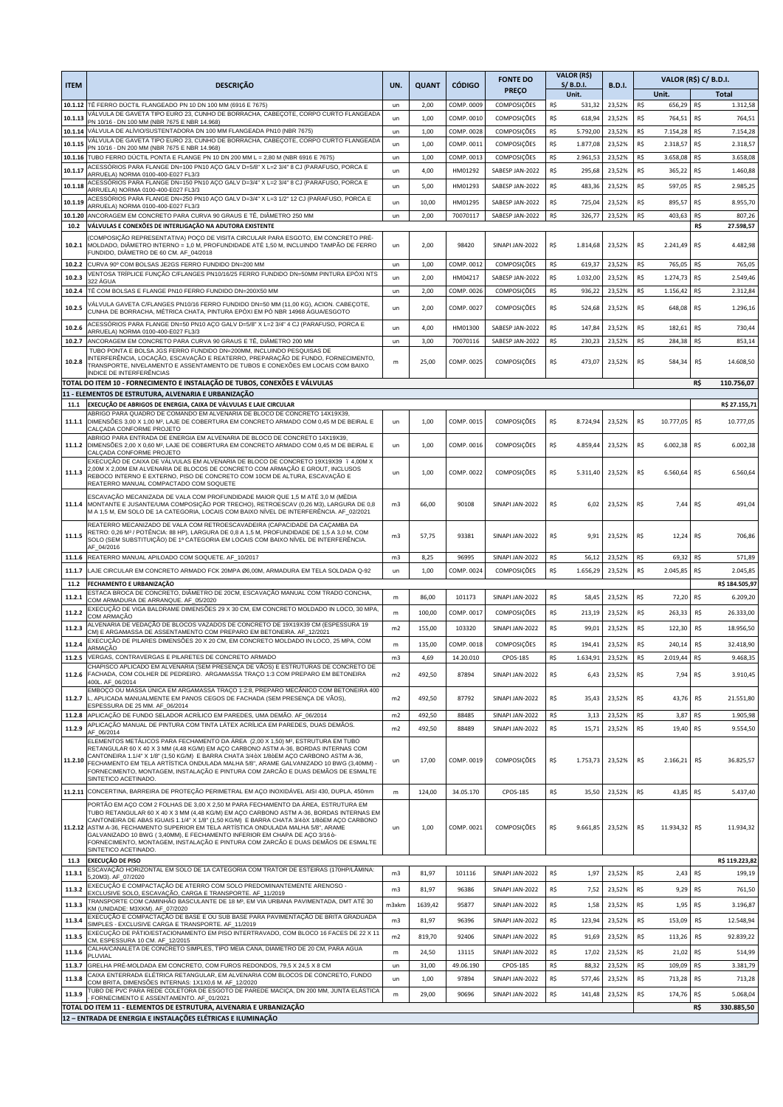| <b>ITEM</b>      | <b>DESCRIÇÃO</b>                                                                                                                                                                                                                                                                                                                                                                                                                                                                                                                                           | UN.                     | <b>QUANT</b>     | <b>CÓDIGO</b>  | <b>FONTE DO</b>                    | VALOR (R\$)<br>$S/$ B.D.I. | <b>B.D.I.</b>    |                  |                  |            | <b>VALOR (R\$) C/ B.D.I.</b> |  |
|------------------|------------------------------------------------------------------------------------------------------------------------------------------------------------------------------------------------------------------------------------------------------------------------------------------------------------------------------------------------------------------------------------------------------------------------------------------------------------------------------------------------------------------------------------------------------------|-------------------------|------------------|----------------|------------------------------------|----------------------------|------------------|------------------|------------------|------------|------------------------------|--|
| 10.1.12          | TÊ FERRO DÚCTIL FLANGEADO PN 10 DN 100 MM (6916 E 7675)                                                                                                                                                                                                                                                                                                                                                                                                                                                                                                    |                         |                  | COMP. 0009     | <b>PRECO</b><br><b>COMPOSIÇÕES</b> | Unit.<br>R\$               | 23,52%           | Unit.<br>R\$     |                  | R\$        | <b>Total</b><br>1.312,58     |  |
| 10.1.13          | VÁLVULA DE GAVETA TIPO EURO 23, CUNHO DE BORRACHA, CABEÇOTE, CORPO CURTO FLANGEADA                                                                                                                                                                                                                                                                                                                                                                                                                                                                         | un<br>un                | 2,00<br>1,00     | COMP. 0010     | COMPOSIÇÕES                        | 531,32<br>R\$<br>618,94    | 23,52%           | R\$              | 656,29<br>764,51 | R\$        | 764,51                       |  |
| 10.1.14          | PN 10/16 - DN 100 MM (NBR 7675 E NBR 14.968)<br>VÁLVULA DE ALÍVIO/SUSTENTADORA DN 100 MM FLANGEADA PN10 (NBR 7675)                                                                                                                                                                                                                                                                                                                                                                                                                                         | un                      | 1,00             | COMP. 0028     | COMPOSIÇÕES                        | R\$<br>5.792,00            | 23,52%           | R\$<br>7.154,28  |                  | R\$        | 7.154,28                     |  |
| 10.1.15          | VÁLVULA DE GAVETA TIPO EURO 23, CUNHO DE BORRACHA, CABEÇOTE, CORPO CURTO FLANGEADA<br>PN 10/16 - DN 200 MM (NBR 7675 E NBR 14.968)                                                                                                                                                                                                                                                                                                                                                                                                                         | un                      | 1,00             | COMP. 0011     | COMPOSIÇÕES                        | R\$<br>1.877,08            | 23,52%           | R\$<br>2.318,57  |                  | R\$        | 2.318,57                     |  |
| 10.1.16          | TUBO FERRO DÚCTIL PONTA E FLANGE PN 10 DN 200 MM L = 2,80 M (NBR 6916 E 7675)<br>ACESSÓRIOS PARA FLANGE DN=100 PN10 AÇO GALV D=5/8" X L=2 3/4" 8 CJ (PARAFUSO, PORCA E                                                                                                                                                                                                                                                                                                                                                                                     | un                      | 1,00             | COMP. 0013     | COMPOSIÇÕES                        | R\$<br>2.961,53            | 23,52%           | R\$              | 3.658,08         | R\$        | 3.658,08                     |  |
| 10.1.17          | ARRUELA) NORMA 0100-400-E027 FL3/3                                                                                                                                                                                                                                                                                                                                                                                                                                                                                                                         | un                      | 4,00             | HM01292        | SABESP JAN-2022                    | R\$<br>295,68              | 23,52%           | R\$              | 365,22           | R\$        | 1.460,88                     |  |
| 10.1.18          | ACESSÓRIOS PARA FLANGE DN=150 PN10 AÇO GALV D=3/4" X L=2 3/4" 8 CJ (PARAFUSO, PORCA E<br>ARRUELA) NORMA 0100-400-E027 FL3/3                                                                                                                                                                                                                                                                                                                                                                                                                                | un                      | 5,00             | HM01293        | SABESP JAN-2022                    | R\$<br>483,36              | 23,52%           | R\$              | 597,05           | R\$        | 2.985,25                     |  |
| 10.1.19          | ACESSÓRIOS PARA FLANGE DN=250 PN10 AÇO GALV D=3/4" X L=3 1/2" 12 CJ (PARAFUSO, PORCA E<br>ARRUELA) NORMA 0100-400-E027 FL3/3                                                                                                                                                                                                                                                                                                                                                                                                                               | un                      | 10,00            | HM01295        | SABESP JAN-2022                    | R\$<br>725,04              | 23,52%           | R\$              | 895,57           | R\$        | 8.955,70                     |  |
| 10.1.20<br>10.2  | ANCORAGEM EM CONCRETO PARA CURVA 90 GRAUS E TÊ, DIÂMETRO 250 MM<br>VÁLVULAS E CONEXÕES DE INTERLIGAÇÃO NA ADUTORA EXISTENTE                                                                                                                                                                                                                                                                                                                                                                                                                                | un                      | 2,00             | 70070117       | SABESP JAN-2022                    | R\$<br>326,77              | 23,52%           | R\$              | 403,63           | R\$<br>R\$ | 807,26<br>27.598,57          |  |
| 10.2.1           | COMPOSIÇÃO REPRESENTATIVA) POÇO DE VISITA CIRCULAR PARA ESGOTO, EM CONCRETO PRÉ-<br>MOLDADO, DIÂMETRO INTERNO = 1,0 M, PROFUNDIDADE ATÉ 1,50 M, INCLUINDO TAMPÃO DE FERRO<br>FUNDIDO. DIÂMETRO DE 60 CM. AF 04/2018                                                                                                                                                                                                                                                                                                                                        | un                      | 2,00             | 98420          | SINAPI JAN-2022                    | R\$<br>1.814,68            | 23,52%           | R\$              | 2.241,49         | R\$        | 4.482,98                     |  |
| 10.2.2           | CURVA 90° COM BOLSAS JE2GS FERRO FUNDIDO DN=200 MM                                                                                                                                                                                                                                                                                                                                                                                                                                                                                                         | un                      | 1,00             | COMP. 0012     | COMPOSIÇÕES                        | R\$<br>619.37              | 23,52%           | R\$              | 765,05           | R\$        | 765,05                       |  |
| 10.2.3           | VENTOSA TRÍPLICE FUNÇÃO C/FLANGES PN10/16/25 FERRO FUNDIDO DN=50MM PINTURA EPÓXI NTS<br>22 AGUA                                                                                                                                                                                                                                                                                                                                                                                                                                                            | un                      | 2,00             | HM04217        | SABESP JAN-2022                    | R\$<br>1.032,00            | 23,52%           | R\$<br>1.274,73  |                  | R\$        | 2.549,46                     |  |
| 10.2.4           | TÊ COM BOLSAS E FLANGE PN10 FERRO FUNDIDO DN=200X50 MM<br>/ÁLVULA GAVETA C/FLANGES PN10/16 FERRO FUNDIDO DN=50 MM (11,00 KG), ACION. CABEÇOTE,                                                                                                                                                                                                                                                                                                                                                                                                             | un                      | 2,00             | COMP. 0026     | COMPOSIÇÕES                        | R\$<br>936,22              | 23,52%           | R\$              | 1.156,42         | R\$        | 2.312,84                     |  |
| 10.2.5           | CUNHA DE BORRACHA, MÉTRICA CHATA, PINTURA EPÓXI EM PÓ NBR 14968 ÁGUA/ESGOTO                                                                                                                                                                                                                                                                                                                                                                                                                                                                                | un                      | 2,00             | COMP. 0027     | COMPOSIÇÕES                        | R\$<br>524,68              | 23,52%           | R\$              | 648,08           | R\$        | 1.296,16                     |  |
| 10.2.6           | ACESSÓRIOS PARA FLANGE DN=50 PN10 AÇO GALV D=5/8" X L=2 3/4" 4 CJ (PARAFUSO, PORCA E<br>ARRUELA) NORMA 0100-400-E027 FL3/3                                                                                                                                                                                                                                                                                                                                                                                                                                 | un                      | 4,00             | HM01300        | SABESP JAN-2022                    | R\$<br>147,84              | 23,52%           | R\$              | 182,61           | R\$        | 730,44                       |  |
| 10.2.7           | ANCORAGEM EM CONCRETO PARA CURVA 90 GRAUS E TÊ, DIÂMETRO 200 MM<br>TUBO PONTA E BOLSA JGS FERRO FUNDIDO DN=200MM, INCLUINDO PESQUISAS DE                                                                                                                                                                                                                                                                                                                                                                                                                   | un                      | 3,00             | 70070116       | SABESP JAN-2022                    | R\$<br>230,23              | 23,52%           | R\$              | 284,38           | R\$        | 853,14                       |  |
| 10.2.8           | INTERFERÊNCIA, LOCAÇÃO, ESCAVAÇÃO E REATERRO, PREPARAÇÃO DE FUNDO, FORNECIMENTO,<br>TRANSPORTE, NIVELAMENTO E ASSENTAMENTO DE TUBOS E CONEXÕES EM LOCAIS COM BAIXO<br>INDICE DE INTERFERÊNCIAS                                                                                                                                                                                                                                                                                                                                                             | m                       | 25,00            | COMP. 0025     | COMPOSIÇÕES                        | R\$<br>473,07              | 23,52%           | R\$              | 584,34           | R\$        | 14.608,50                    |  |
|                  | TOTAL DO ITEM 10 - FORNECIMENTO E INSTALAÇÃO DE TUBOS, CONEXÕES E VÁLVULAS<br>11 - ELEMENTOS DE ESTRUTURA, ALVENARIA E URBANIZAÇÃO                                                                                                                                                                                                                                                                                                                                                                                                                         |                         |                  |                |                                    |                            |                  |                  |                  | R\$        | 110.756,07                   |  |
| 11.1             | EXECUÇÃO DE ABRIGOS DE ENERGIA. CAIXA DE VÁLVULAS E LAJE CIRCULAR                                                                                                                                                                                                                                                                                                                                                                                                                                                                                          |                         |                  |                |                                    |                            |                  |                  |                  |            | R\$ 27.155,71                |  |
| 11.1.1           | ABRIGO PARA QUADRO DE COMANDO EM ALVENARIA DE BLOCO DE CONCRETO 14X19X39<br>DIMENSÕES 3,00 X 1,00 M <sup>2</sup> , LAJE DE COBERTURA EM CONCRETO ARMADO COM 0,45 M DE BEIRAL E<br>CALÇADA CONFORME PROJETO<br>ABRIGO PARA ENTRADA DE ENERGIA EM ALVENARIA DE BLOCO DE CONCRETO 14X19X39.                                                                                                                                                                                                                                                                   | un                      | 1.00             | COMP. 0015     | COMPOSIÇÕES                        | R\$<br>8.724,94            | 23,52%           | 10.777,05<br>R\$ |                  | R\$        | 10.777,05                    |  |
| 11.1.2           | DIMENSÕES 2,00 X 0,60 M <sup>2</sup> , LAJE DE COBERTURA EM CONCRETO ARMADO COM 0,45 M DE BEIRAL E<br>CALÇADA CONFORME PROJETO<br>EXECUÇÃO DE CAIXA DE VÁLVULAS EM ALVENARIA DE BLOCO DE CONCRETO 19X19X39 . 4,00M X                                                                                                                                                                                                                                                                                                                                       | un                      | 1.00             | COMP. 0016     | COMPOSIÇÕES                        | R\$<br>4.859,44            | 23,52%           | R\$              | 6.002,38         | R\$        | 6.002,38                     |  |
| 11.1.3           | 2,00M X 2,00M EM ALVENARIA DE BLOCOS DE CONCRETO COM ARMAÇÃO E GROUT, INCLUSOS<br>REBOCO INTERNO E EXTERNO, PISO DE CONCRETO COM 10CM DE ALTURA, ESCAVAÇÃO E<br>REATERRO MANUAL COMPACTADO COM SOQUETE                                                                                                                                                                                                                                                                                                                                                     | un                      | 1,00             | COMP. 0022     | COMPOSIÇÕES                        | R\$<br>5.311,40            | 23,52%           | R\$              | 6.560,64         | R\$        | 6.560,64                     |  |
| 11.1.4           | ESCAVAÇÃO MECANIZADA DE VALA COM PROFUNDIDADE MAIOR QUE 1,5 M ATÉ 3,0 M (MÉDIA<br>MONTANTE E JUSANTE/UMA COMPOSIÇÃO POR TRECHO), RETROESCAV (0,26 M3), LARGURA DE 0,8<br>M A 1,5 M, EM SOLO DE 1A CATEGORIA, LOCAIS COM BAIXO NÍVEL DE INTERFERÊNCIA. AF_02/2021<br>REATERRO MECANIZADO DE VALA COM RETROESCAVADEIRA (CAPACIDADE DA CAÇAMBA DA                                                                                                                                                                                                             | m <sub>3</sub>          | 66,00            | 90108          | SINAPI JAN-2022                    | R\$<br>6,02                | 23,52%           | R\$              | 7,44             | R\$        | 491,04                       |  |
| 11.1.5           | RETRO: 0,26 Mª / POTÊNCIA: 88 HP), LARGURA DE 0,8 A 1,5 M, PROFUNDIDADE DE 1,5 A 3,0 M, COM<br>SOLO (SEM SUBSTITUIÇÃO) DE 1ª CATEGORIA EM LOCAIS COM BAIXO NÍVEL DE INTERFERÊNCIA.<br>AF 04/2016                                                                                                                                                                                                                                                                                                                                                           | m <sub>3</sub>          | 57,75            | 93381          | SINAPI JAN-2022                    | R\$<br>9,91                | 23,52%           | R\$              | 12,24            | R\$        | 706,86                       |  |
| 11.1.6           | REATERRO MANUAL APILOADO COM SOQUETE. AF_10/2017                                                                                                                                                                                                                                                                                                                                                                                                                                                                                                           | m3                      | 8,25             | 96995          | SINAPI JAN-2022                    | R\$<br>56,12               | 23,52%           | R\$              | 69,32            | R\$        | 571,89                       |  |
| 11.1.7<br>11.2   | LAJE CIRCULAR EM CONCRETO ARMADO FCK 20MPA Ø6,00M, ARMADURA EM TELA SOLDADA Q-92<br>FECHAMENTO E URBANIZAÇÃO                                                                                                                                                                                                                                                                                                                                                                                                                                               | un                      | 1,00             | COMP. 0024     | COMPOSIÇÕES                        | R\$<br>1.656,29            | 23,52%           | R\$              | 2.045,85         | R\$        | 2.045,85                     |  |
| 11.2.1           | STACA BROCA DE CONCRETO, DIÂMETRO DE 20CM, ESCAVAÇÃO MANUAL COM TRADO CONCHA,                                                                                                                                                                                                                                                                                                                                                                                                                                                                              | m                       | 86,00            | 101173         | SINAPI JAN-2022                    | R\$<br>58,45               | 23,52%           | R\$              | 72,20            | R\$        | R\$ 184.505,97<br>6.209,20   |  |
| 11.2.2           | COM ARMADURA DE ARRANQUE. AF_05/2020<br>EXECUÇÃO DE VIGA BALDRAME DIMENSÕES 29 X 30 CM, EM CONCRETO MOLDADO IN LOCO, 30 MPA                                                                                                                                                                                                                                                                                                                                                                                                                                | m                       | 100,00           | COMP. 0017     | COMPOSIÇÕES                        | R\$<br>213,19              | 23,52%           | R\$              | 263,33           | R\$        | 26.333,00                    |  |
| 11.2.3           | COM ARMAÇÃO<br>ALVENARIA DE VEDAÇÃO DE BLOCOS VAZADOS DE CONCRETO DE 19X19X39 CM (ESPESSURA 19                                                                                                                                                                                                                                                                                                                                                                                                                                                             | m2                      | 155,00           | 103320         | SINAPI JAN-2022                    | R\$<br>99,01               | 23,52%           | R\$              | 122,30           | R\$        | 18.956,50                    |  |
| 11.2.4           | CM) E ARGAMASSA DE ASSENTAMENTO COM PREPARO EM BETONEIRA. AF_12/2021<br>EXECUÇÃO DE PILARES DIMENSÕES 20 X 20 CM, EM CONCRETO MOLDADO IN LOCO, 25 MPA, COM                                                                                                                                                                                                                                                                                                                                                                                                 | m                       | 135,00           | COMP. 0018     | COMPOSIÇÕES                        | R\$<br>194,41              | 23,52%           | R\$              | 240,14           | R\$        | 32.418,90                    |  |
| 11.2.5           | ARMAÇÃO<br>VERGAS, CONTRAVERGAS E PILARETES DE CONCRETO ARMADO                                                                                                                                                                                                                                                                                                                                                                                                                                                                                             | m3                      | 4,69             | 14.20.010      | CPOS-185                           | R\$<br>1.634,91            | 23,52%           | R\$              | 2.019,44         | R\$        | 9.468,35                     |  |
| 11.2.6           | CHAPISCO APLICADO EM ALVENARIA (SEM PRESENÇA DE VÃOS) E ESTRUTURAS DE CONCRETO DE<br>FACHADA, COM COLHER DE PEDREIRO. ARGAMASSA TRAÇO 1:3 COM PREPARO EM BETONEIRA<br>400L. AF_06/2014                                                                                                                                                                                                                                                                                                                                                                     | m2                      | 492,50           | 87894          | SINAPI JAN-2022                    | R\$<br>6,43                | 23,52%           | R\$              | 7,94             | R\$        | 3.910,45                     |  |
| 11.2.7           | EMBOCO OU MASSA ÚNICA EM ARGAMASSA TRACO 1:2:8, PREPARO MECÂNICO COM BETONEIRA 400<br>L, APLICADA MANUALMENTE EM PANOS CEGOS DE FACHADA (SEM PRESENÇA DE VÃOS),<br>ESPESSURA DE 25 MM. AF_06/2014                                                                                                                                                                                                                                                                                                                                                          | m2                      | 492,50           | 87792          | SINAPI JAN-2022                    | R\$<br>35,43               | 23,52%           | R\$              | 43,76            | R\$        | 21.551,80                    |  |
| 11.2.8           | APLICAÇÃO DE FUNDO SELADOR ACRÍLICO EM PAREDES, UMA DEMÃO. AF_06/2014<br>APLICAÇÃO MANUAL DE PINTURA COM TINTA LÁTEX ACRÍLICA EM PAREDES, DUAS DEMÃOS.                                                                                                                                                                                                                                                                                                                                                                                                     | m2                      | 492,50           | 88485          | SINAPI JAN-2022                    | R\$<br>3,13                | 23,52%           | R\$              | 3,87             | R\$        | 1.905.98                     |  |
| 11.2.9           | AF 06/2014<br>ELEMENTOS METÁLICOS PARA FECHAMENTO DA ÁREA (2,00 X 1,50) M2, ESTRUTURA EM TUBO                                                                                                                                                                                                                                                                                                                                                                                                                                                              | m2                      | 492,50           | 88489          | SINAPI JAN-2022                    | R\$<br>15,71               | 23,52%           | R\$              | 19,40            | R\$        | 9.554,50                     |  |
| 11.2.10          | RETANGULAR 60 X 40 X 3 MM (4,48 KG/M) EM ACO CARBONO ASTM A-36, BORDAS INTERNAS COM<br>CANTONEIRA 1.1/4" X 1/8" (1,50 KG/M) E BARRA CHATA 3/4+X 1/8+EM AÇO CARBONO ASTM A-36,<br>FECHAMENTO EM TELA ARTÍSTICA ONDULADA MALHA 5/8", ARAME GALVANIZADO 10 BWG (3,40MM) ·<br>FORNECIMENTO, MONTAGEM, INSTALAÇÃO E PINTURA COM ZARCÃO E DUAS DEMÃOS DE ESMALTE<br>SINTETICO ACETINADO.                                                                                                                                                                         | un                      | 17,00            | COMP. 0019     | COMPOSIÇÕES                        | R\$<br>1.753,73            | 23,52%           | R\$              | 2.166,21         | R\$        | 36.825,57                    |  |
| 11.2.11          | CONCERTINA, BARREIRA DE PROTEÇÃO PERIMETRAL EM AÇO INOXIDÁVEL AISI 430, DUPLA, 450mm                                                                                                                                                                                                                                                                                                                                                                                                                                                                       | m                       | 124,00           | 34.05.170      | CPOS-185                           | R\$<br>35,50               | 23,52%           | R\$              | 43,85            | R\$        | 5.437,40                     |  |
|                  | PORTÃO EM ACO COM 2 FOLHAS DE 3,00 X 2,50 M PARA FECHAMENTO DA ÁREA, ESTRUTURA EM<br>TUBO RETANGULAR 60 X 40 X 3 MM (4.48 KG/M) EM ACO CARBONO ASTM A-36, BORDAS INTERNAS EM<br>CANTONEIRA DE ABAS IGUAIS 1.1/4" X 1/8" (1,50 KG/M) E BARRA CHATA 3/4+X 1/8+EM AÇO CARBONO<br>11.2.12 ASTM A-36, FECHAMENTO SUPERIOR EM TELA ARTÍSTICA ONDULADA MALHA 5/8", ARAME<br>GALVANIZADO 10 BWG (3,40MM), E FECHAMENTO INFERIOR EM CHAPA DE ACO 3/16+-<br>FORNECIMENTO, MONTAGEM, INSTALAÇÃO E PINTURA COM ZARCÃO E DUAS DEMÃOS DE ESMALTE<br>SINTETICO ACETINADO. | un                      | 1,00             | COMP. 0021     | <b>COMPOSIÇÕES</b>                 | R\$<br>9.661,85            | 23,52%           | R\$<br>11.934,32 |                  | R\$        | 11.934,32                    |  |
| 11.3             | <b>EXECUÇÃO DE PISO</b><br>ESCAVAÇÃO HORIZONTAL EM SOLO DE 1A CATEGORIA COM TRATOR DE ESTEIRAS (170HP/LÂMINA:                                                                                                                                                                                                                                                                                                                                                                                                                                              |                         |                  |                |                                    |                            |                  |                  |                  |            | R\$ 119.223,82               |  |
| 11.3.1           | 5,20M3). AF_07/2020<br>EXECUÇÃO E COMPACTAÇÃO DE ATERRO COM SOLO PREDOMINANTEMENTE ARENOSO -                                                                                                                                                                                                                                                                                                                                                                                                                                                               | m <sub>3</sub>          | 81,97            | 101116         | SINAPI JAN-2022                    | R\$<br>1,97                | 23,52%           | R\$              | 2,43             | R\$        | 199,19                       |  |
| 11.3.2           | EXCLUSIVE SOLO, ESCAVAÇÃO, CARGA E TRANSPORTE. AF_11/2019<br>TRANSPORTE COM CAMINHÃO BASCULANTE DE 18 Mª, EM VIA URBANA PAVIMENTADA, DMT ATÉ 30                                                                                                                                                                                                                                                                                                                                                                                                            | m <sub>3</sub>          | 81,97            | 96386          | SINAPI JAN-2022                    | R\$<br>7,52<br>R\$         | 23,52%           | R\$<br>R\$       | 9,29             | R\$<br>R\$ | 761,50                       |  |
| 11.3.3<br>11.3.4 | KM (UNIDADE: M3XKM). AF_07/2020<br>EXECUÇÃO E COMPACTAÇÃO DE BASE E OU SUB BASE PARA PAVIMENTAÇÃO DE BRITA GRADUADA                                                                                                                                                                                                                                                                                                                                                                                                                                        | m3xkm<br>m <sub>3</sub> | 1639,42<br>81,97 | 95877<br>96396 | SINAPI JAN-2022<br>SINAPI JAN-2022 | 1,58<br>R\$<br>123,94      | 23,52%<br>23,52% | R\$              | 1,95<br>153,09   | R\$        | 3.196,87<br>12.548,94        |  |
| 11.3.5           | SIMPLES - EXCLUSIVE CARGA E TRANSPORTE. AF_11/2019<br>EXECUÇÃO DE PÁTIO/ESTACIONAMENTO EM PISO INTERTRAVADO, COM BLOCO 16 FACES DE 22 X 11                                                                                                                                                                                                                                                                                                                                                                                                                 | m2                      | 819,70           | 92406          | SINAPI JAN-2022                    | R\$<br>91,69               | 23,52%           | R\$              | 113,26           | R\$        | 92.839,22                    |  |
| 11.3.6           | CM, ESPESSURA 10 CM. AF_12/2015<br>CALHA/CANALETA DE CONCRETO SIMPLES, TIPO MEIA CANA, DIAMETRO DE 20 CM, PARA AGUA                                                                                                                                                                                                                                                                                                                                                                                                                                        | m                       | 24,50            | 13115          | SINAPI JAN-2022                    | R\$<br>17,02               | 23,52%           | R\$              | 21,02            | R\$        | 514,99                       |  |
| 11.3.7           | PLUVIAL<br>GRELHA PRÉ-MOLDADA EM CONCRETO, COM FUROS REDONDOS, 79,5 X 24,5 X 8 CM                                                                                                                                                                                                                                                                                                                                                                                                                                                                          | un                      | 31,00            | 49.06.190      | CPOS-185                           | R\$<br>88,32               | 23,52%           | R\$              | 109,09           | R\$        | 3.381,79                     |  |
| 11.3.8           | CAIXA ENTERRADA ELÉTRICA RETANGULAR, EM ALVENARIA COM BLOCOS DE CONCRETO, FUNDO<br>COM BRITA, DIMENSÕES INTERNAS: 1X1X0,6 M. AF_12/2020                                                                                                                                                                                                                                                                                                                                                                                                                    | un                      | 1,00             | 97894          | SINAPI JAN-2022                    | R\$<br>577,46              | 23,52%           | R\$              | 713,28           | R\$        | 713,28                       |  |
| 11.3.9           | TUBO DE PVC PARA REDE COLETORA DE ESGOTO DE PAREDE MACIÇA, DN 200 MM, JUNTA ELÁSTICA<br>FORNECIMENTO E ASSENTAMENTO. AF_01/2021                                                                                                                                                                                                                                                                                                                                                                                                                            | m                       | 29,00            | 90696          | SINAPI JAN-2022                    | R\$<br>141,48              | 23,52%           | R\$              | 174,76           | R\$        | 5.068,04                     |  |
|                  | TOTAL DO ITEM 11 - ELEMENTOS DE ESTRUTURA, ALVENARIA E URBANIZAÇÃO                                                                                                                                                                                                                                                                                                                                                                                                                                                                                         |                         |                  |                |                                    |                            |                  |                  |                  | R\$        | 330.885,50                   |  |
|                  | 12 - ENTRADA DE ENERGIA E INSTALAÇÕES ELÉTRICAS E ILUMINAÇÃO                                                                                                                                                                                                                                                                                                                                                                                                                                                                                               |                         |                  |                |                                    |                            |                  |                  |                  |            |                              |  |